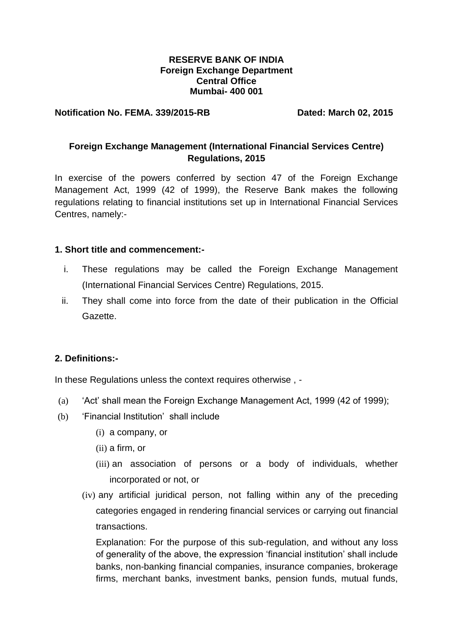### **RESERVE BANK OF INDIA Foreign Exchange Department Central Office Mumbai- 400 001**

### **Notification No. FEMA. 339/2015-RB Dated: March 02, 2015**

# **Foreign Exchange Management (International Financial Services Centre) Regulations, 2015**

In exercise of the powers conferred by section 47 of the Foreign Exchange Management Act, 1999 (42 of 1999), the Reserve Bank makes the following regulations relating to financial institutions set up in International Financial Services Centres, namely:-

### **1. Short title and commencement:-**

- i. These regulations may be called the Foreign Exchange Management (International Financial Services Centre) Regulations, 2015.
- ii. They shall come into force from the date of their publication in the Official Gazette.

## **2. Definitions:-**

In these Regulations unless the context requires otherwise , -

- (a) 'Act' shall mean the Foreign Exchange Management Act, 1999 (42 of 1999);
- (b) 'Financial Institution' shall include
	- (i) a company, or
	- (ii) a firm, or
	- (iii) an association of persons or a body of individuals, whether incorporated or not, or
	- (iv) any artificial juridical person, not falling within any of the preceding categories engaged in rendering financial services or carrying out financial transactions.

Explanation: For the purpose of this sub-regulation, and without any loss of generality of the above, the expression 'financial institution' shall include banks, non-banking financial companies, insurance companies, brokerage firms, merchant banks, investment banks, pension funds, mutual funds,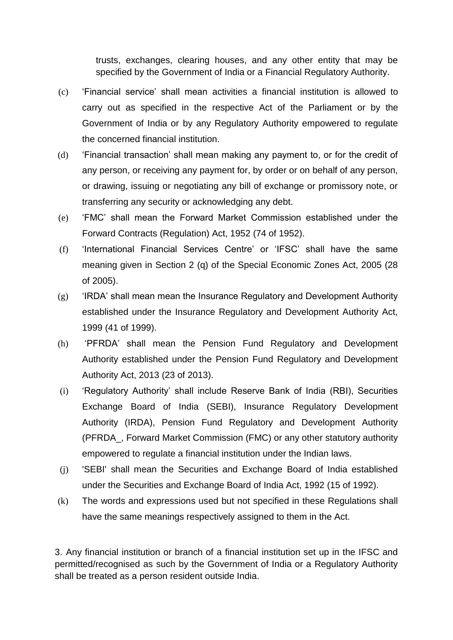trusts, exchanges, clearing houses, and any other entity that may be specified by the Government of India or a Financial Regulatory Authority.

- (c) 'Financial service' shall mean activities a financial institution is allowed to carry out as specified in the respective Act of the Parliament or by the Government of India or by any Regulatory Authority empowered to regulate the concerned financial institution.
- (d) 'Financial transaction' shall mean making any payment to, or for the credit of any person, or receiving any payment for, by order or on behalf of any person, or drawing, issuing or negotiating any bill of exchange or promissory note, or transferring any security or acknowledging any debt.
- (e) 'FMC' shall mean the Forward Market Commission established under the Forward Contracts (Regulation) Act, 1952 (74 of 1952).
- (f) 'International Financial Services Centre' or 'IFSC' shall have the same meaning given in Section 2 (q) of the Special Economic Zones Act, 2005 (28 of 2005).
- (g) 'IRDA' shall mean mean the Insurance Regulatory and Development Authority established under the Insurance Regulatory and Development Authority Act, 1999 (41 of 1999).
- (h) 'PFRDA' shall mean the Pension Fund Regulatory and Development Authority established under the Pension Fund Regulatory and Development Authority Act, 2013 (23 of 2013).
- (i) 'Regulatory Authority' shall include Reserve Bank of India (RBI), Securities Exchange Board of India (SEBI), Insurance Regulatory Development Authority (IRDA), Pension Fund Regulatory and Development Authority (PFRDA\_, Forward Market Commission (FMC) or any other statutory authority empowered to regulate a financial institution under the Indian laws.
- (j) 'SEBI' shall mean the Securities and Exchange Board of India established under the Securities and Exchange Board of India Act, 1992 (15 of 1992).
- (k) The words and expressions used but not specified in these Regulations shall have the same meanings respectively assigned to them in the Act.

3. Any financial institution or branch of a financial institution set up in the IFSC and permitted/recognised as such by the Government of India or a Regulatory Authority shall be treated as a person resident outside India.